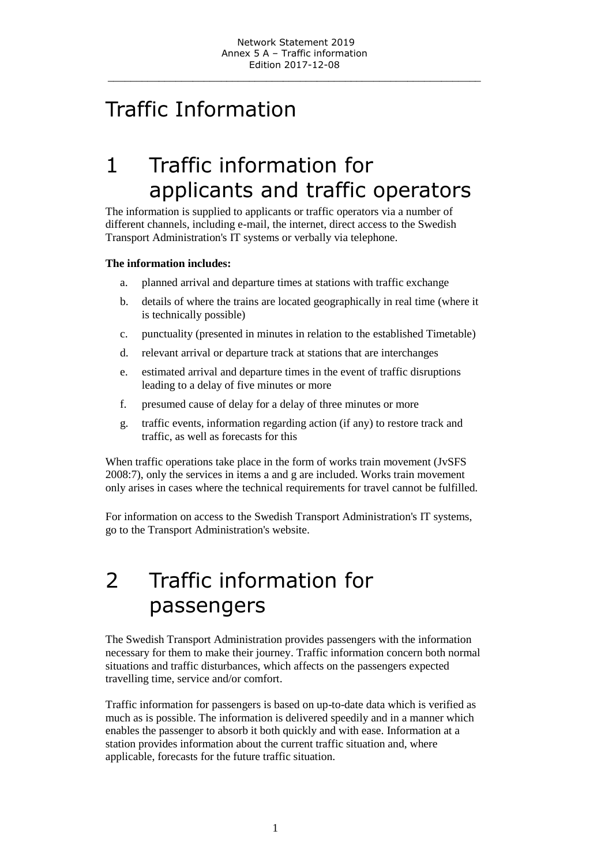\_\_\_\_\_\_\_\_\_\_\_\_\_\_\_\_\_\_\_\_\_\_\_\_\_\_\_\_\_\_\_\_\_\_\_\_\_\_\_\_\_\_\_\_\_\_\_\_\_\_\_\_\_\_\_\_\_\_\_\_\_\_\_\_\_\_

# Traffic Information

# 1 Traffic information for applicants and traffic operators

The information is supplied to applicants or traffic operators via a number of different channels, including e-mail, the internet, direct access to the Swedish Transport Administration's IT systems or verbally via telephone.

### **The information includes:**

- a. planned arrival and departure times at stations with traffic exchange
- b. details of where the trains are located geographically in real time (where it is technically possible)
- c. punctuality (presented in minutes in relation to the established Timetable)
- d. relevant arrival or departure track at stations that are interchanges
- e. estimated arrival and departure times in the event of traffic disruptions leading to a delay of five minutes or more
- f. presumed cause of delay for a delay of three minutes or more
- g. traffic events, information regarding action (if any) to restore track and traffic, as well as forecasts for this

When traffic operations take place in the form of works train movement (JvSFS 2008:7), only the services in items a and g are included. Works train movement only arises in cases where the technical requirements for travel cannot be fulfilled.

For information on access to the Swedish Transport Administration's IT systems, go to the Transport Administration's website.

# 2 Traffic information for passengers

The Swedish Transport Administration provides passengers with the information necessary for them to make their journey. Traffic information concern both normal situations and traffic disturbances, which affects on the passengers expected travelling time, service and/or comfort.

Traffic information for passengers is based on up-to-date data which is verified as much as is possible. The information is delivered speedily and in a manner which enables the passenger to absorb it both quickly and with ease. Information at a station provides information about the current traffic situation and, where applicable, forecasts for the future traffic situation.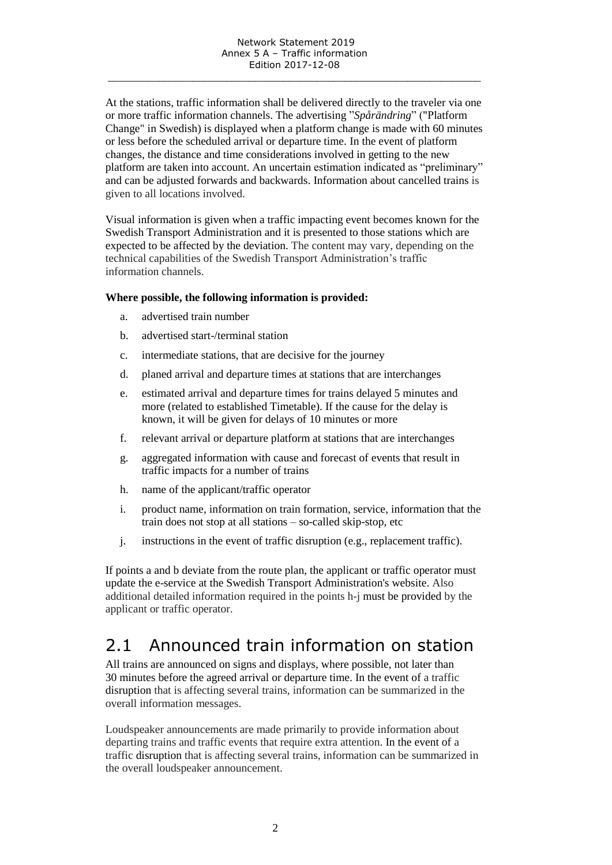At the stations, traffic information shall be delivered directly to the traveler via one or more traffic information channels. The advertising "*Spårändring*" ("Platform Change" in Swedish) is displayed when a platform change is made with 60 minutes or less before the scheduled arrival or departure time. In the event of platform changes, the distance and time considerations involved in getting to the new platform are taken into account. An uncertain estimation indicated as "preliminary" and can be adjusted forwards and backwards. Information about cancelled trains is given to all locations involved.

Visual information is given when a traffic impacting event becomes known for the Swedish Transport Administration and it is presented to those stations which are expected to be affected by the deviation. The content may vary, depending on the technical capabilities of the Swedish Transport Administration's traffic information channels.

#### **Where possible, the following information is provided:**

- a. advertised train number
- b. advertised start-/terminal station
- c. intermediate stations, that are decisive for the journey
- d. planed arrival and departure times at stations that are interchanges
- e. estimated arrival and departure times for trains delayed 5 minutes and more (related to established Timetable). If the cause for the delay is known, it will be given for delays of 10 minutes or more
- f. relevant arrival or departure platform at stations that are interchanges
- g. aggregated information with cause and forecast of events that result in traffic impacts for a number of trains
- h. name of the applicant/traffic operator
- i. product name, information on train formation, service, information that the train does not stop at all stations – so-called skip-stop, etc
- j. instructions in the event of traffic disruption (e.g., replacement traffic).

If points a and b deviate from the route plan, the applicant or traffic operator must update the e-service at the Swedish Transport Administration's website. Also additional detailed information required in the points h-j must be provided by the applicant or traffic operator.

## 2.1 Announced train information on station

All trains are announced on signs and displays, where possible, not later than 30 minutes before the agreed arrival or departure time. In the event of a traffic disruption that is affecting several trains, information can be summarized in the overall information messages.

Loudspeaker announcements are made primarily to provide information about departing trains and traffic events that require extra attention. In the event of a traffic disruption that is affecting several trains, information can be summarized in the overall loudspeaker announcement.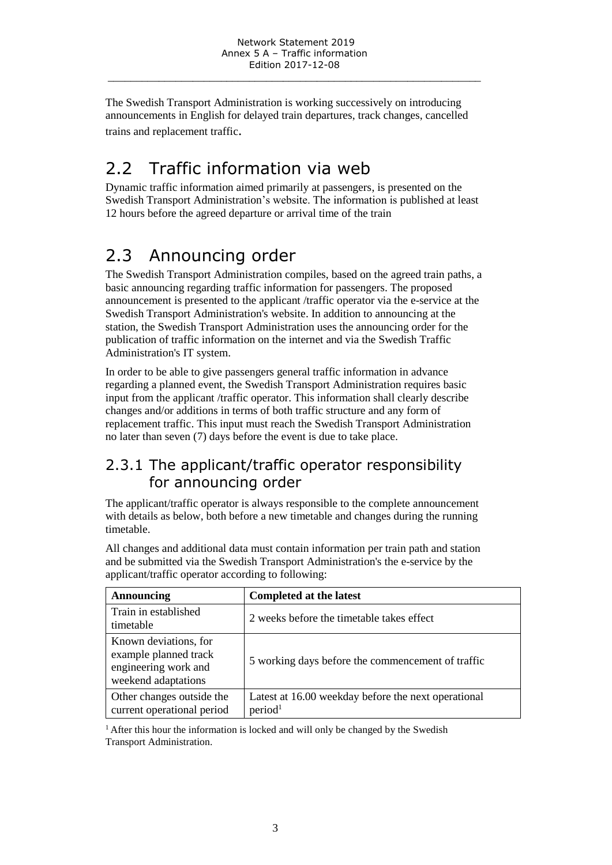The Swedish Transport Administration is working successively on introducing announcements in English for delayed train departures, track changes, cancelled trains and replacement traffic.

## 2.2 Traffic information via web

Dynamic traffic information aimed primarily at passengers, is presented on the Swedish Transport Administration's website. The information is published at least 12 hours before the agreed departure or arrival time of the train

# 2.3 Announcing order

The Swedish Transport Administration compiles, based on the agreed train paths, a basic announcing regarding traffic information for passengers. The proposed announcement is presented to the applicant /traffic operator via the e-service at the Swedish Transport Administration's website. In addition to announcing at the station, the Swedish Transport Administration uses the announcing order for the publication of traffic information on the internet and via the Swedish Traffic Administration's IT system.

In order to be able to give passengers general traffic information in advance regarding a planned event, the Swedish Transport Administration requires basic input from the applicant /traffic operator. This information shall clearly describe changes and/or additions in terms of both traffic structure and any form of replacement traffic. This input must reach the Swedish Transport Administration no later than seven (7) days before the event is due to take place.

### 2.3.1 The applicant/traffic operator responsibility for announcing order

The applicant/traffic operator is always responsible to the complete announcement with details as below, both before a new timetable and changes during the running timetable.

All changes and additional data must contain information per train path and station and be submitted via the Swedish Transport Administration's the e-service by the applicant/traffic operator according to following:

| Announcing                                                                                    | Completed at the latest                                                    |
|-----------------------------------------------------------------------------------------------|----------------------------------------------------------------------------|
| Train in established<br>timetable                                                             | 2 weeks before the timetable takes effect                                  |
| Known deviations, for<br>example planned track<br>engineering work and<br>weekend adaptations | 5 working days before the commencement of traffic                          |
| Other changes outside the<br>current operational period                                       | Latest at 16.00 weekday before the next operational<br>period <sup>1</sup> |

 $<sup>1</sup>$  After this hour the information is locked and will only be changed by the Swedish</sup> Transport Administration.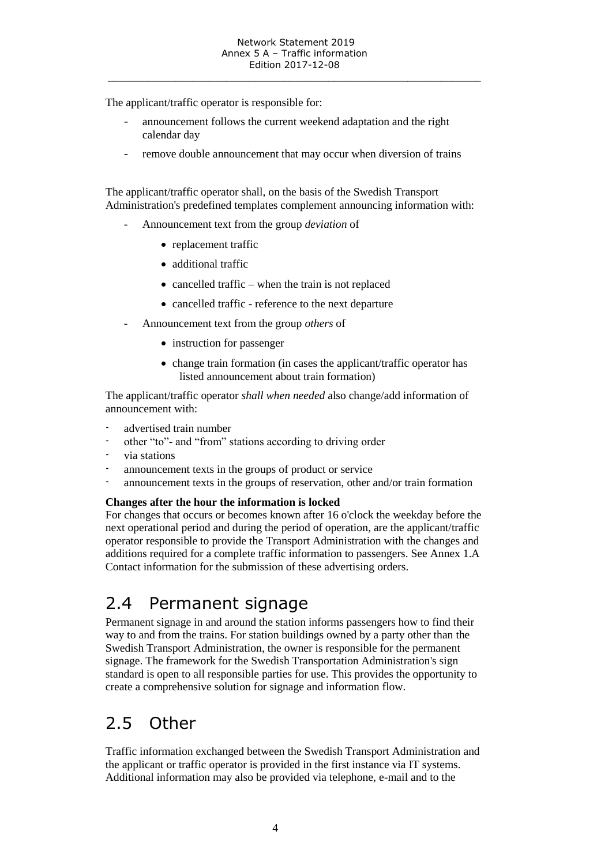\_\_\_\_\_\_\_\_\_\_\_\_\_\_\_\_\_\_\_\_\_\_\_\_\_\_\_\_\_\_\_\_\_\_\_\_\_\_\_\_\_\_\_\_\_\_\_\_\_\_\_\_\_\_\_\_\_\_\_\_\_\_\_\_\_\_

The applicant/traffic operator is responsible for:

- announcement follows the current weekend adaptation and the right calendar day
- remove double announcement that may occur when diversion of trains

The applicant/traffic operator shall, on the basis of the Swedish Transport Administration's predefined templates complement announcing information with:

- Announcement text from the group *deviation* of
	- replacement traffic
	- additional traffic
	- $\bullet$  cancelled traffic when the train is not replaced
	- cancelled traffic reference to the next departure
- Announcement text from the group *others* of
	- instruction for passenger
	- change train formation (in cases the applicant/traffic operator has listed announcement about train formation)

The applicant/traffic operator *shall when needed* also change/add information of announcement with:

- advertised train number
- other "to"- and "from" stations according to driving order
- via stations
- announcement texts in the groups of product or service
- announcement texts in the groups of reservation, other and/or train formation

#### **Changes after the hour the information is locked**

For changes that occurs or becomes known after 16 o'clock the weekday before the next operational period and during the period of operation, are the applicant/traffic operator responsible to provide the Transport Administration with the changes and additions required for a complete traffic information to passengers. See Annex 1.A Contact information for the submission of these advertising orders.

## 2.4 Permanent signage

Permanent signage in and around the station informs passengers how to find their way to and from the trains. For station buildings owned by a party other than the Swedish Transport Administration, the owner is responsible for the permanent signage. The framework for the Swedish Transportation Administration's sign standard is open to all responsible parties for use. This provides the opportunity to create a comprehensive solution for signage and information flow.

## 2.5 Other

Traffic information exchanged between the Swedish Transport Administration and the applicant or traffic operator is provided in the first instance via IT systems. Additional information may also be provided via telephone, e-mail and to the